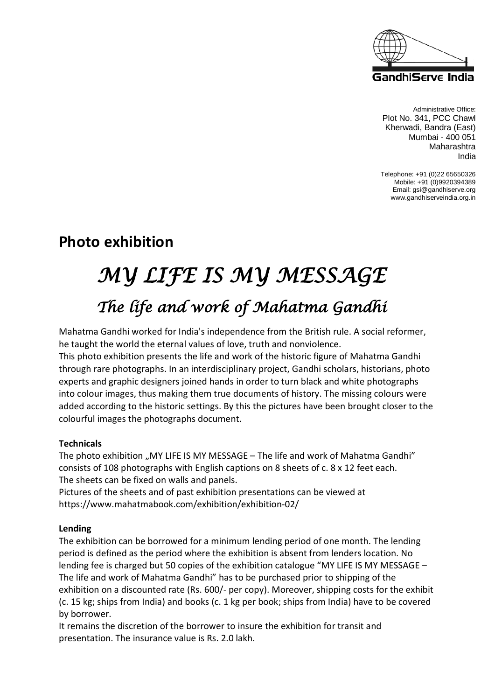

Administrative Office: Plot No. 341, PCC Chawl Kherwadi, Bandra (East) Mumbai - 400 051 Maharashtra India

Telephone: +91 (0)22 65650326 Mobile: +91 (0)9920394389 Email: gsi@gandhiserve.org www.gandhiserveindia.org.in

## **Photo exhibition**

# *MY LIFE IS MY MESSAGE The life and work of Mahatma Gandhi*

Mahatma Gandhi worked for India's independence from the British rule. A social reformer, he taught the world the eternal values of love, truth and nonviolence.

This photo exhibition presents the life and work of the historic figure of Mahatma Gandhi through rare photographs. In an interdisciplinary project, Gandhi scholars, historians, photo experts and graphic designers joined hands in order to turn black and white photographs into colour images, thus making them true documents of history. The missing colours were added according to the historic settings. By this the pictures have been brought closer to the colourful images the photographs document.

#### **Technicals**

The photo exhibition "MY LIFE IS MY MESSAGE - The life and work of Mahatma Gandhi" consists of 108 photographs with English captions on 8 sheets of c. 8 x 12 feet each. The sheets can be fixed on walls and panels.

Pictures of the sheets and of past exhibition presentations can be viewed at https://www.mahatmabook.com/exhibition/exhibition-02/

#### **Lending**

The exhibition can be borrowed for a minimum lending period of one month. The lending period is defined as the period where the exhibition is absent from lenders location. No lending fee is charged but 50 copies of the exhibition catalogue "MY LIFE IS MY MESSAGE – The life and work of Mahatma Gandhi" has to be purchased prior to shipping of the exhibition on a discounted rate (Rs. 600/- per copy). Moreover, shipping costs for the exhibit (c. 15 kg; ships from India) and books (c. 1 kg per book; ships from India) have to be covered by borrower.

It remains the discretion of the borrower to insure the exhibition for transit and presentation. The insurance value is Rs. 2.0 lakh.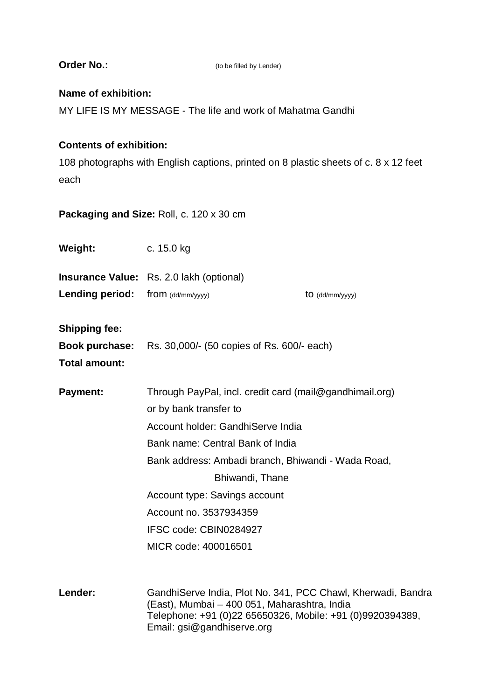| <b>Order No.:</b>                                                                                                              | (to be filled by Lender)                                                                                                                                                                                                                                                                                                                         |                 |
|--------------------------------------------------------------------------------------------------------------------------------|--------------------------------------------------------------------------------------------------------------------------------------------------------------------------------------------------------------------------------------------------------------------------------------------------------------------------------------------------|-----------------|
| Name of exhibition:<br>MY LIFE IS MY MESSAGE - The life and work of Mahatma Gandhi                                             |                                                                                                                                                                                                                                                                                                                                                  |                 |
| <b>Contents of exhibition:</b><br>108 photographs with English captions, printed on 8 plastic sheets of c. 8 x 12 feet<br>each |                                                                                                                                                                                                                                                                                                                                                  |                 |
| Packaging and Size: Roll, c. 120 x 30 cm                                                                                       |                                                                                                                                                                                                                                                                                                                                                  |                 |
| Weight:                                                                                                                        | c. 15.0 kg                                                                                                                                                                                                                                                                                                                                       |                 |
|                                                                                                                                | <b>Insurance Value:</b> Rs. 2.0 lakh (optional)                                                                                                                                                                                                                                                                                                  |                 |
| Lending period:                                                                                                                | from (dd/mm/yyyy)                                                                                                                                                                                                                                                                                                                                | to (dd/mm/yyyy) |
| <b>Shipping fee:</b><br>Book purchase:<br><b>Total amount:</b>                                                                 | Rs. 30,000/- (50 copies of Rs. 600/- each)                                                                                                                                                                                                                                                                                                       |                 |
| <b>Payment:</b>                                                                                                                | Through PayPal, incl. credit card (mail@gandhimail.org)<br>or by bank transfer to<br>Account holder: GandhiServe India<br>Bank name: Central Bank of India<br>Bank address: Ambadi branch, Bhiwandi - Wada Road,<br>Bhiwandi, Thane<br>Account type: Savings account<br>Account no. 3537934359<br>IFSC code: CBIN0284927<br>MICR code: 400016501 |                 |
| Lender:                                                                                                                        | Gandhi Serve India, Plot No. 341, PCC Chawl, Kherwadi, Bandra<br>(East), Mumbai - 400 051, Maharashtra, India<br>Telephone: +91 (0)22 65650326, Mobile: +91 (0)9920394389,<br>Email: gsi@gandhiserve.org                                                                                                                                         |                 |